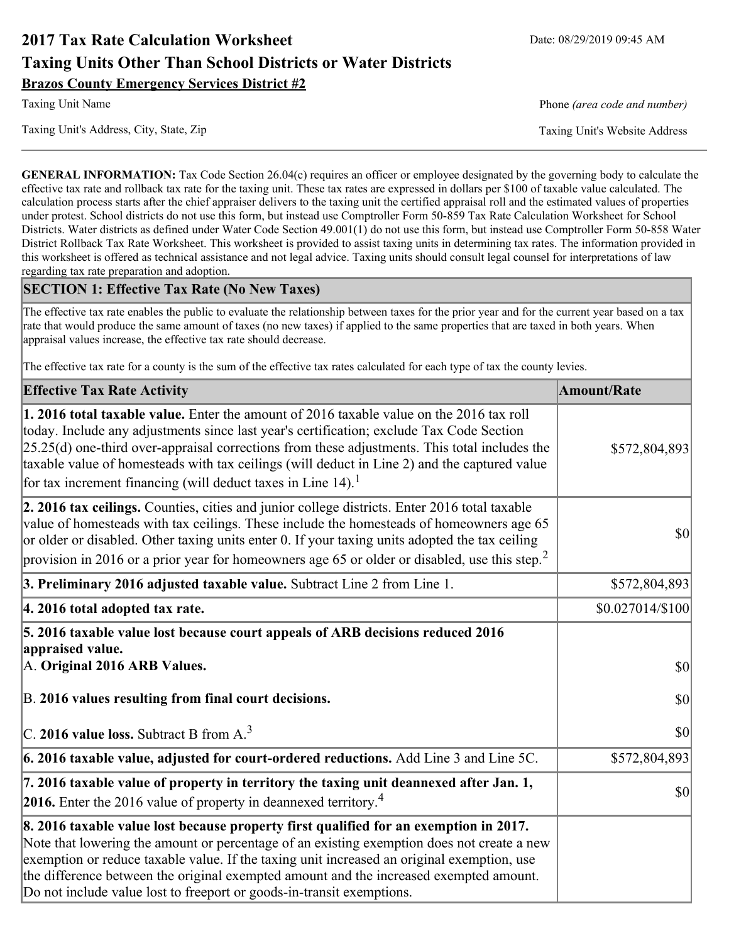# **2017 Tax Rate Calculation Worksheet** Date: 08/29/2019 09:45 AM **Taxing Units Other Than School Districts or Water Districts Brazos County Emergency Services District #2**

Taxing Unit's Address, City, State, Zip Taxing Unit's Website Address

Taxing Unit Name **Phone** *(area code and number)* Phone *(area code and number)* 

**GENERAL INFORMATION:** Tax Code Section 26.04(c) requires an officer or employee designated by the governing body to calculate the effective tax rate and rollback tax rate for the taxing unit. These tax rates are expressed in dollars per \$100 of taxable value calculated. The calculation process starts after the chief appraiser delivers to the taxing unit the certified appraisal roll and the estimated values of properties under protest. School districts do not use this form, but instead use Comptroller Form 50-859 Tax Rate Calculation Worksheet for School Districts. Water districts as defined under Water Code Section 49.001(1) do not use this form, but instead use Comptroller Form 50-858 Water District Rollback Tax Rate Worksheet. This worksheet is provided to assist taxing units in determining tax rates. The information provided in this worksheet is offered as technical assistance and not legal advice. Taxing units should consult legal counsel for interpretations of law regarding tax rate preparation and adoption.

### **SECTION 1: Effective Tax Rate (No New Taxes)**

The effective tax rate enables the public to evaluate the relationship between taxes for the prior year and for the current year based on a tax rate that would produce the same amount of taxes (no new taxes) if applied to the same properties that are taxed in both years. When appraisal values increase, the effective tax rate should decrease.

The effective tax rate for a county is the sum of the effective tax rates calculated for each type of tax the county levies.

| <b>Effective Tax Rate Activity</b>                                                                                                                                                                                                                                                                                                                                                                                                                                             | <b>Amount/Rate</b> |
|--------------------------------------------------------------------------------------------------------------------------------------------------------------------------------------------------------------------------------------------------------------------------------------------------------------------------------------------------------------------------------------------------------------------------------------------------------------------------------|--------------------|
| <b>1. 2016 total taxable value.</b> Enter the amount of 2016 taxable value on the 2016 tax roll<br>today. Include any adjustments since last year's certification; exclude Tax Code Section<br>$[25.25(d)$ one-third over-appraisal corrections from these adjustments. This total includes the<br>taxable value of homesteads with tax ceilings (will deduct in Line 2) and the captured value<br>for tax increment financing (will deduct taxes in Line $14$ ). <sup>1</sup> | \$572,804,893      |
| 2. 2016 tax ceilings. Counties, cities and junior college districts. Enter 2016 total taxable<br>value of homesteads with tax ceilings. These include the homesteads of homeowners age 65<br>or older or disabled. Other taxing units enter 0. If your taxing units adopted the tax ceiling<br>provision in 2016 or a prior year for homeowners age 65 or older or disabled, use this step. <sup>2</sup>                                                                       | 30                 |
| 3. Preliminary 2016 adjusted taxable value. Subtract Line 2 from Line 1.                                                                                                                                                                                                                                                                                                                                                                                                       | \$572,804,893      |
| 4. 2016 total adopted tax rate.                                                                                                                                                                                                                                                                                                                                                                                                                                                | \$0.027014/\$100   |
| 5. 2016 taxable value lost because court appeals of ARB decisions reduced 2016<br>appraised value.<br>A. Original 2016 ARB Values.                                                                                                                                                                                                                                                                                                                                             | $ 10\rangle$       |
| B. 2016 values resulting from final court decisions.                                                                                                                                                                                                                                                                                                                                                                                                                           | 30                 |
| C. 2016 value loss. Subtract B from $A3$                                                                                                                                                                                                                                                                                                                                                                                                                                       | 30                 |
| 6. 2016 taxable value, adjusted for court-ordered reductions. Add Line 3 and Line 5C.                                                                                                                                                                                                                                                                                                                                                                                          | \$572,804,893      |
| 7. 2016 taxable value of property in territory the taxing unit deannexed after Jan. 1,<br><b>2016.</b> Enter the 2016 value of property in deannexed territory. <sup>4</sup>                                                                                                                                                                                                                                                                                                   | $ 10\rangle$       |
| 8. 2016 taxable value lost because property first qualified for an exemption in 2017.<br>Note that lowering the amount or percentage of an existing exemption does not create a new<br>exemption or reduce taxable value. If the taxing unit increased an original exemption, use<br>the difference between the original exempted amount and the increased exempted amount.<br>Do not include value lost to freeport or goods-in-transit exemptions.                           |                    |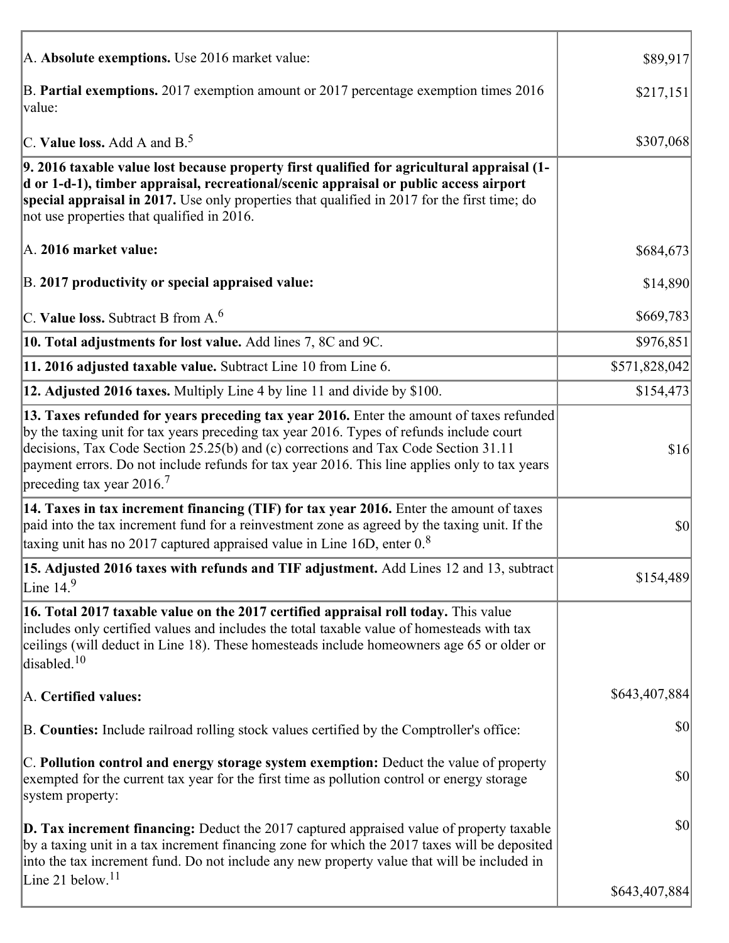| A. Absolute exemptions. Use 2016 market value:                                                                                                                                                                                                                                                                                                                                                                         | \$89,917      |
|------------------------------------------------------------------------------------------------------------------------------------------------------------------------------------------------------------------------------------------------------------------------------------------------------------------------------------------------------------------------------------------------------------------------|---------------|
| B. Partial exemptions. 2017 exemption amount or 2017 percentage exemption times 2016<br>value:                                                                                                                                                                                                                                                                                                                         | \$217,151     |
| C. Value loss. Add A and $B^5$                                                                                                                                                                                                                                                                                                                                                                                         | \$307,068     |
| 9. 2016 taxable value lost because property first qualified for agricultural appraisal (1-<br>d or 1-d-1), timber appraisal, recreational/scenic appraisal or public access airport<br>special appraisal in 2017. Use only properties that qualified in 2017 for the first time; do<br>not use properties that qualified in 2016.                                                                                      |               |
| A. 2016 market value:                                                                                                                                                                                                                                                                                                                                                                                                  | \$684,673     |
| B. 2017 productivity or special appraised value:                                                                                                                                                                                                                                                                                                                                                                       | \$14,890      |
| $\vert$ C. Value loss. Subtract B from A. $^6$                                                                                                                                                                                                                                                                                                                                                                         | \$669,783     |
| 10. Total adjustments for lost value. Add lines 7, 8C and 9C.                                                                                                                                                                                                                                                                                                                                                          | \$976,851     |
| 11. 2016 adjusted taxable value. Subtract Line 10 from Line 6.                                                                                                                                                                                                                                                                                                                                                         | \$571,828,042 |
| 12. Adjusted 2016 taxes. Multiply Line 4 by line 11 and divide by \$100.                                                                                                                                                                                                                                                                                                                                               | \$154,473     |
| 13. Taxes refunded for years preceding tax year 2016. Enter the amount of taxes refunded<br>by the taxing unit for tax years preceding tax year 2016. Types of refunds include court<br>decisions, Tax Code Section 25.25(b) and (c) corrections and Tax Code Section 31.11<br>payment errors. Do not include refunds for tax year 2016. This line applies only to tax years<br>preceding tax year $2016$ <sup>7</sup> | \$16          |
| 14. Taxes in tax increment financing (TIF) for tax year 2016. Enter the amount of taxes<br>paid into the tax increment fund for a reinvestment zone as agreed by the taxing unit. If the<br>taxing unit has no 2017 captured appraised value in Line 16D, enter $0.8$                                                                                                                                                  | \$0           |
| 15. Adjusted 2016 taxes with refunds and TIF adjustment. Add Lines 12 and 13, subtract<br>Line $14.9$                                                                                                                                                                                                                                                                                                                  | \$154,489     |
| 16. Total 2017 taxable value on the 2017 certified appraisal roll today. This value<br>includes only certified values and includes the total taxable value of homesteads with tax<br>ceilings (will deduct in Line 18). These homesteads include homeowners age 65 or older or<br>disabled. $10$                                                                                                                       |               |
| A. Certified values:                                                                                                                                                                                                                                                                                                                                                                                                   | \$643,407,884 |
| B. Counties: Include railroad rolling stock values certified by the Comptroller's office:                                                                                                                                                                                                                                                                                                                              | \$0           |
| C. Pollution control and energy storage system exemption: Deduct the value of property<br>exempted for the current tax year for the first time as pollution control or energy storage<br>system property:                                                                                                                                                                                                              | \$0           |
| <b>D. Tax increment financing:</b> Deduct the 2017 captured appraised value of property taxable<br>by a taxing unit in a tax increment financing zone for which the 2017 taxes will be deposited<br>into the tax increment fund. Do not include any new property value that will be included in<br>Line 21 below. <sup>11</sup>                                                                                        | \$0           |
|                                                                                                                                                                                                                                                                                                                                                                                                                        | \$643,407,884 |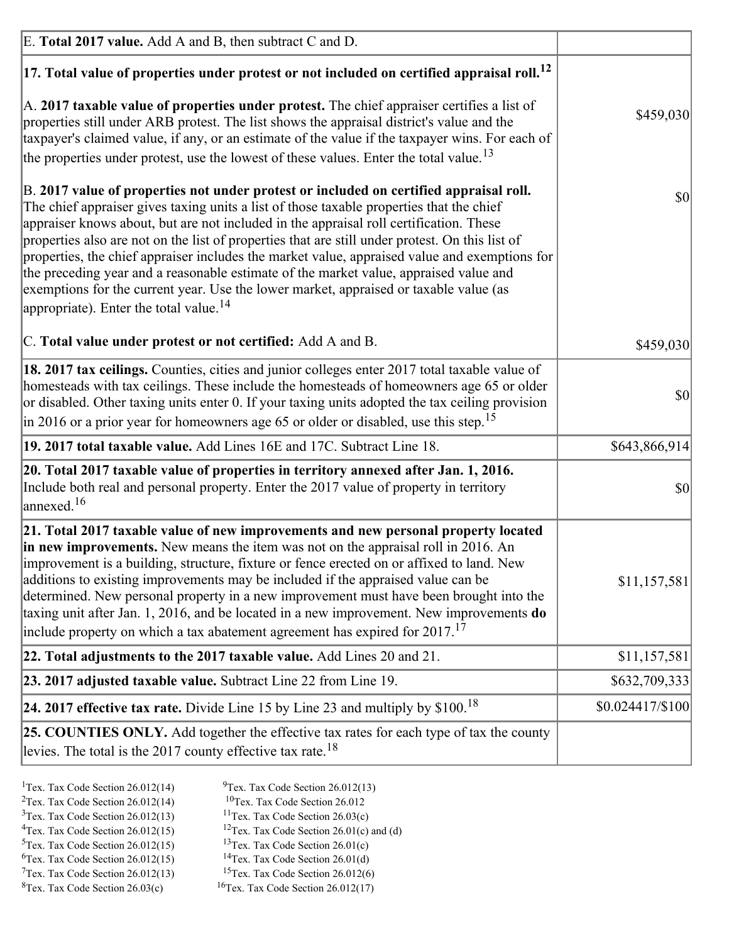| E. Total 2017 value. Add A and B, then subtract C and D.                                                                                                                                                                                                                                                                                                                                                                                                                                                                                                                                                                                                                                                                 |                 |
|--------------------------------------------------------------------------------------------------------------------------------------------------------------------------------------------------------------------------------------------------------------------------------------------------------------------------------------------------------------------------------------------------------------------------------------------------------------------------------------------------------------------------------------------------------------------------------------------------------------------------------------------------------------------------------------------------------------------------|-----------------|
| $ 17$ . Total value of properties under protest or not included on certified appraisal roll. <sup>12</sup>                                                                                                                                                                                                                                                                                                                                                                                                                                                                                                                                                                                                               |                 |
| A. 2017 taxable value of properties under protest. The chief appraiser certifies a list of<br>properties still under ARB protest. The list shows the appraisal district's value and the<br>taxpayer's claimed value, if any, or an estimate of the value if the taxpayer wins. For each of<br>the properties under protest, use the lowest of these values. Enter the total value. <sup>13</sup>                                                                                                                                                                                                                                                                                                                         | \$459,030       |
| B. 2017 value of properties not under protest or included on certified appraisal roll.<br>The chief appraiser gives taxing units a list of those taxable properties that the chief<br>appraiser knows about, but are not included in the appraisal roll certification. These<br>properties also are not on the list of properties that are still under protest. On this list of<br>properties, the chief appraiser includes the market value, appraised value and exemptions for<br>the preceding year and a reasonable estimate of the market value, appraised value and<br>exemptions for the current year. Use the lower market, appraised or taxable value (as<br>appropriate). Enter the total value. <sup>14</sup> | 30              |
| C. Total value under protest or not certified: Add A and B.                                                                                                                                                                                                                                                                                                                                                                                                                                                                                                                                                                                                                                                              | \$459,030       |
| 18. 2017 tax ceilings. Counties, cities and junior colleges enter 2017 total taxable value of<br>homesteads with tax ceilings. These include the homesteads of homeowners age 65 or older<br>or disabled. Other taxing units enter 0. If your taxing units adopted the tax ceiling provision<br>$\vert$ in 2016 or a prior year for homeowners age 65 or older or disabled, use this step. <sup>15</sup>                                                                                                                                                                                                                                                                                                                 | 30              |
| 19. 2017 total taxable value. Add Lines 16E and 17C. Subtract Line 18.                                                                                                                                                                                                                                                                                                                                                                                                                                                                                                                                                                                                                                                   | \$643,866,914   |
| 20. Total 2017 taxable value of properties in territory annexed after Jan. 1, 2016.<br>Include both real and personal property. Enter the 2017 value of property in territory<br>annexed. <sup>16</sup>                                                                                                                                                                                                                                                                                                                                                                                                                                                                                                                  | $ 10\rangle$    |
| 21. Total 2017 taxable value of new improvements and new personal property located<br>in new improvements. New means the item was not on the appraisal roll in 2016. An<br>improvement is a building, structure, fixture or fence erected on or affixed to land. New<br>additions to existing improvements may be included if the appraised value can be<br>determined. New personal property in a new improvement must have been brought into the<br>taxing unit after Jan. 1, 2016, and be located in a new improvement. New improvements do<br>include property on which a tax abatement agreement has expired for $2017$ . <sup>17</sup>                                                                             | \$11,157,581    |
| 22. Total adjustments to the 2017 taxable value. Add Lines 20 and 21.                                                                                                                                                                                                                                                                                                                                                                                                                                                                                                                                                                                                                                                    | \$11,157,581    |
| 23. 2017 adjusted taxable value. Subtract Line 22 from Line 19.                                                                                                                                                                                                                                                                                                                                                                                                                                                                                                                                                                                                                                                          | \$632,709,333   |
| 24. 2017 effective tax rate. Divide Line 15 by Line 23 and multiply by $$100$ . <sup>18</sup>                                                                                                                                                                                                                                                                                                                                                                                                                                                                                                                                                                                                                            | \$0.024417/S100 |
| 25. COUNTIES ONLY. Add together the effective tax rates for each type of tax the county<br>levies. The total is the 2017 county effective tax rate. <sup>18</sup>                                                                                                                                                                                                                                                                                                                                                                                                                                                                                                                                                        |                 |

- <sup>2</sup>Tex. Tax Code Section 26.012(14)
- <sup>1</sup>Tex. Tax Code Section 26.012(14) <sup>9</sup>Tex. Tax Code Section 26.012(13) <sup>9</sup>Tex. Tax Code Section 26.012
	-
- <sup>3</sup>Tex. Tax Code Section 26.012(13) <sup>11</sup>Tex. Tax Code Section 26.03(c) <sup>4</sup>Tex. Tax Code Section 26.01(c) and <sup>12</sup>Tex. Tax Code Section 26.01(c) and <sup>12</sup>Tex. Tax Code Section 26.01(c) and <sup>12</sup>Tex. Tax Code Section 26.01(c)
	- <sup>12</sup>Tex. Tax Code Section 26.01(c) and (d)
- 
- <sup>5</sup>Tex. Tax Code Section 26.012(15) <sup>13</sup>Tex. Tax Code Section 26.01(c) <sup>6</sup>Tex. Tax Code Section 26.01(d) <sup>6</sup>Tex. Tax Code Section 26.012(15) <sup>14</sup>Tex. Tax Code Section 26.01(d)<sup>7</sup>Tex. Tax Code Section 26.012(6)
- $7$ Tex. Tax Code Section 26.012(13)
- 
- 
- ${}^{8}$ Tex. Tax Code Section 26.03(c)  ${}^{16}$ Tex. Tax Code Section 26.012(17)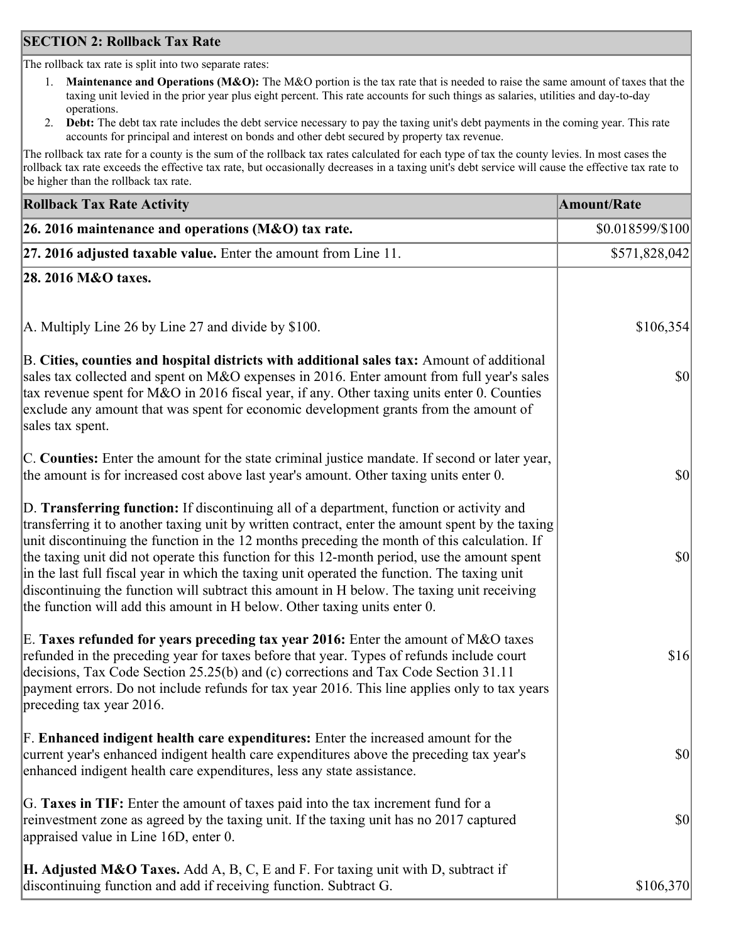### **SECTION 2: Rollback Tax Rate**

The rollback tax rate is split into two separate rates:

- 1. **Maintenance and Operations (M&O):** The M&O portion is the tax rate that is needed to raise the same amount of taxes that the taxing unit levied in the prior year plus eight percent. This rate accounts for such things as salaries, utilities and day-to-day operations.
- 2. **Debt:** The debt tax rate includes the debt service necessary to pay the taxing unit's debt payments in the coming year. This rate accounts for principal and interest on bonds and other debt secured by property tax revenue.

The rollback tax rate for a county is the sum of the rollback tax rates calculated for each type of tax the county levies. In most cases the rollback tax rate exceeds the effective tax rate, but occasionally decreases in a taxing unit's debt service will cause the effective tax rate to be higher than the rollback tax rate.

| <b>Rollback Tax Rate Activity</b>                                                                                                                                                                                                                                                                                                                                                                                                                                                                                                                                                                                                                                       | <b>Amount/Rate</b> |
|-------------------------------------------------------------------------------------------------------------------------------------------------------------------------------------------------------------------------------------------------------------------------------------------------------------------------------------------------------------------------------------------------------------------------------------------------------------------------------------------------------------------------------------------------------------------------------------------------------------------------------------------------------------------------|--------------------|
| 26. 2016 maintenance and operations (M&O) tax rate.                                                                                                                                                                                                                                                                                                                                                                                                                                                                                                                                                                                                                     | \$0.018599/\$100   |
| $ 27.2016$ adjusted taxable value. Enter the amount from Line 11.                                                                                                                                                                                                                                                                                                                                                                                                                                                                                                                                                                                                       | \$571,828,042      |
| 28. 2016 M&O taxes.                                                                                                                                                                                                                                                                                                                                                                                                                                                                                                                                                                                                                                                     |                    |
| A. Multiply Line 26 by Line 27 and divide by \$100.                                                                                                                                                                                                                                                                                                                                                                                                                                                                                                                                                                                                                     | \$106,354          |
| B. Cities, counties and hospital districts with additional sales tax: Amount of additional<br>sales tax collected and spent on M&O expenses in 2016. Enter amount from full year's sales<br>tax revenue spent for M&O in 2016 fiscal year, if any. Other taxing units enter 0. Counties<br>exclude any amount that was spent for economic development grants from the amount of<br>sales tax spent.                                                                                                                                                                                                                                                                     | $ 10\rangle$       |
| C. Counties: Enter the amount for the state criminal justice mandate. If second or later year,<br>the amount is for increased cost above last year's amount. Other taxing units enter 0.                                                                                                                                                                                                                                                                                                                                                                                                                                                                                | $ 10\rangle$       |
| D. Transferring function: If discontinuing all of a department, function or activity and<br>transferring it to another taxing unit by written contract, enter the amount spent by the taxing<br>unit discontinuing the function in the 12 months preceding the month of this calculation. If<br>the taxing unit did not operate this function for this 12-month period, use the amount spent<br>in the last full fiscal year in which the taxing unit operated the function. The taxing unit<br>discontinuing the function will subtract this amount in H below. The taxing unit receiving<br>the function will add this amount in H below. Other taxing units enter 0. | \$0                |
| E. Taxes refunded for years preceding tax year 2016: Enter the amount of M&O taxes<br>refunded in the preceding year for taxes before that year. Types of refunds include court<br>decisions, Tax Code Section 25.25(b) and (c) corrections and Tax Code Section 31.11<br>payment errors. Do not include refunds for tax year 2016. This line applies only to tax years<br>preceding tax year 2016.                                                                                                                                                                                                                                                                     | \$16               |
| F. Enhanced indigent health care expenditures: Enter the increased amount for the<br>current year's enhanced indigent health care expenditures above the preceding tax year's<br>enhanced indigent health care expenditures, less any state assistance.                                                                                                                                                                                                                                                                                                                                                                                                                 | $ 10\rangle$       |
| G. Taxes in TIF: Enter the amount of taxes paid into the tax increment fund for a<br>reinvestment zone as agreed by the taxing unit. If the taxing unit has no 2017 captured<br>appraised value in Line 16D, enter 0.                                                                                                                                                                                                                                                                                                                                                                                                                                                   | $ 10\rangle$       |
| <b>H. Adjusted M&amp;O Taxes.</b> Add A, B, C, E and F. For taxing unit with D, subtract if<br>discontinuing function and add if receiving function. Subtract G.                                                                                                                                                                                                                                                                                                                                                                                                                                                                                                        | \$106,370          |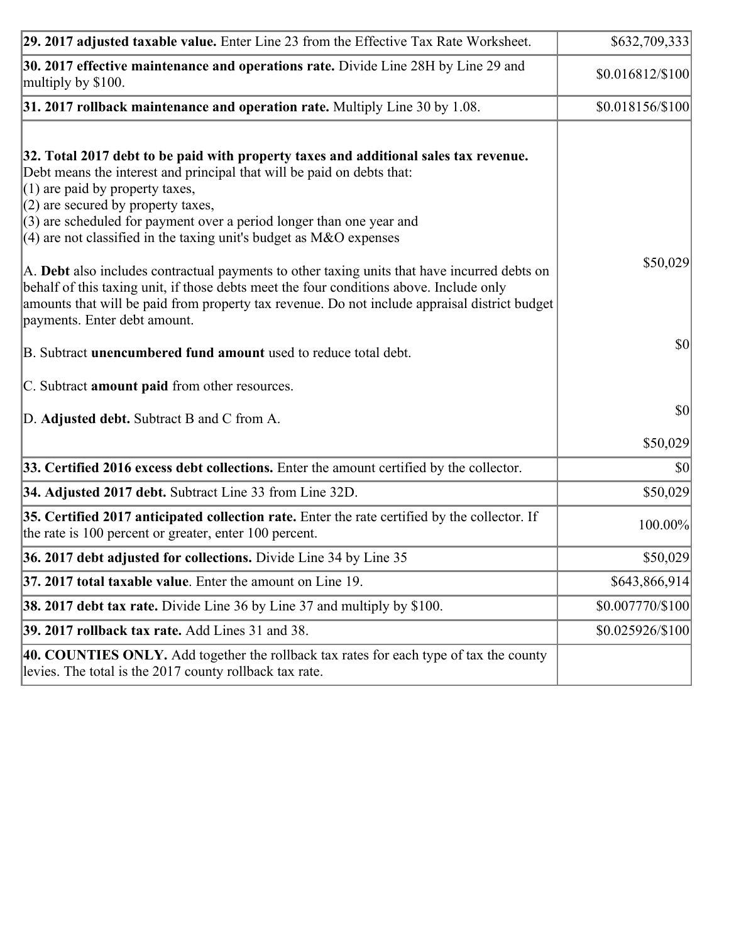| 29. 2017 adjusted taxable value. Enter Line 23 from the Effective Tax Rate Worksheet.                                                                                                                                                                                                                                                                                                         | \$632,709,333    |
|-----------------------------------------------------------------------------------------------------------------------------------------------------------------------------------------------------------------------------------------------------------------------------------------------------------------------------------------------------------------------------------------------|------------------|
| 30. 2017 effective maintenance and operations rate. Divide Line 28H by Line 29 and<br>multiply by \$100.                                                                                                                                                                                                                                                                                      | \$0.016812/\$100 |
| $31.2017$ rollback maintenance and operation rate. Multiply Line 30 by 1.08.                                                                                                                                                                                                                                                                                                                  | \$0.018156/\$100 |
| 32. Total 2017 debt to be paid with property taxes and additional sales tax revenue.<br>Debt means the interest and principal that will be paid on debts that:<br>$(1)$ are paid by property taxes,<br>$(2)$ are secured by property taxes,<br>$(3)$ are scheduled for payment over a period longer than one year and<br>(4) are not classified in the taxing unit's budget as $M&O$ expenses |                  |
| A. Debt also includes contractual payments to other taxing units that have incurred debts on<br>behalf of this taxing unit, if those debts meet the four conditions above. Include only<br>amounts that will be paid from property tax revenue. Do not include appraisal district budget<br>payments. Enter debt amount.                                                                      | \$50,029         |
| B. Subtract <b>unencumbered fund amount</b> used to reduce total debt.                                                                                                                                                                                                                                                                                                                        | \$0              |
| C. Subtract amount paid from other resources.                                                                                                                                                                                                                                                                                                                                                 |                  |
| D. Adjusted debt. Subtract B and C from A.                                                                                                                                                                                                                                                                                                                                                    | $ 10\rangle$     |
|                                                                                                                                                                                                                                                                                                                                                                                               | \$50,029         |
| 33. Certified 2016 excess debt collections. Enter the amount certified by the collector.                                                                                                                                                                                                                                                                                                      | \$0              |
| 34. Adjusted 2017 debt. Subtract Line 33 from Line 32D.                                                                                                                                                                                                                                                                                                                                       | \$50,029         |
| 35. Certified 2017 anticipated collection rate. Enter the rate certified by the collector. If<br>the rate is 100 percent or greater, enter 100 percent.                                                                                                                                                                                                                                       | 100.00%          |
| 36. 2017 debt adjusted for collections. Divide Line 34 by Line 35                                                                                                                                                                                                                                                                                                                             | \$50,029         |
| 37. 2017 total taxable value. Enter the amount on Line 19.                                                                                                                                                                                                                                                                                                                                    | \$643,866,914    |
| <b>38. 2017 debt tax rate.</b> Divide Line 36 by Line 37 and multiply by \$100.                                                                                                                                                                                                                                                                                                               | \$0.007770/\$100 |
| 39. 2017 rollback tax rate. Add Lines 31 and 38.                                                                                                                                                                                                                                                                                                                                              | \$0.025926/\$100 |
| 40. COUNTIES ONLY. Add together the rollback tax rates for each type of tax the county<br>levies. The total is the 2017 county rollback tax rate.                                                                                                                                                                                                                                             |                  |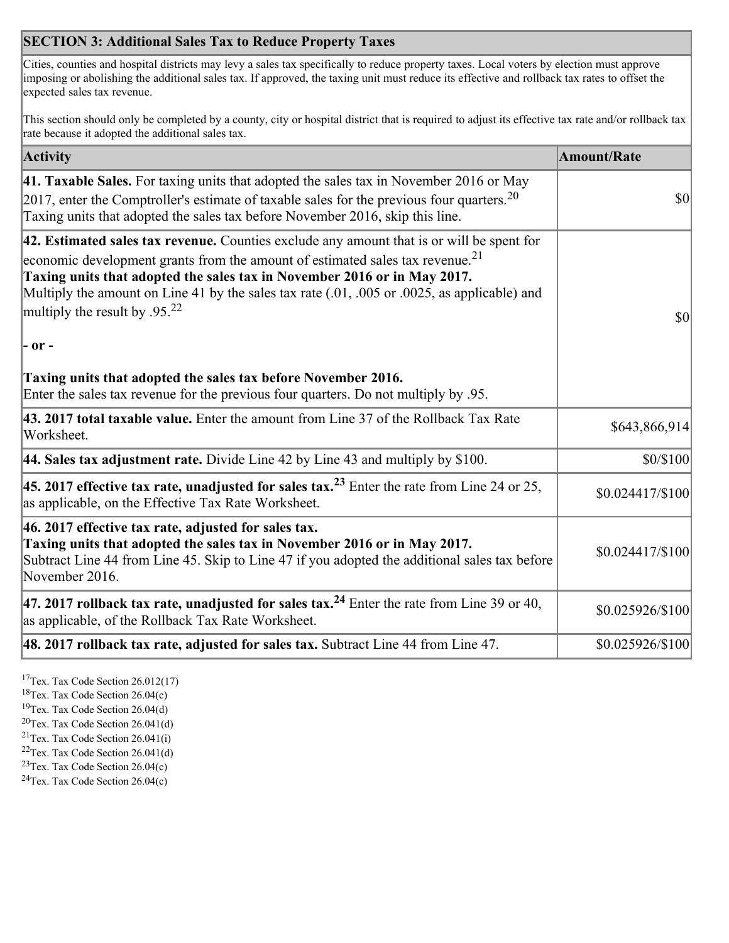## **SECTION 3: Additional Sales Tax to Reduce Property Taxes**

Cities, counties and hospital districts may levy a sales tax specifically to reduce property taxes. Local voters by election must approve imposing or abolishing the additional sales tax. If approved, the taxing unit must reduce its effective and rollback tax rates to offset the expected sales tax revenue.

This section should only be completed by a county, city or hospital district that is required to adjust its effective tax rate and/or rollback tax rate because it adopted the additional sales tax.

| <b>Activity</b>                                                                                                                                                                                                                                                                                                                                                                                                 | <b>Amount/Rate</b>           |
|-----------------------------------------------------------------------------------------------------------------------------------------------------------------------------------------------------------------------------------------------------------------------------------------------------------------------------------------------------------------------------------------------------------------|------------------------------|
| 41. Taxable Sales. For taxing units that adopted the sales tax in November 2016 or May<br>$[2017]$ , enter the Comptroller's estimate of taxable sales for the previous four quarters. <sup>20</sup><br>Taxing units that adopted the sales tax before November 2016, skip this line.                                                                                                                           | $\vert$ so $\vert$           |
| 42. Estimated sales tax revenue. Counties exclude any amount that is or will be spent for<br>economic development grants from the amount of estimated sales tax revenue. <sup>21</sup><br>Taxing units that adopted the sales tax in November 2016 or in May 2017.<br>Multiply the amount on Line 41 by the sales tax rate (.01, .005 or .0025, as applicable) and<br>multiply the result by .95. <sup>22</sup> | \$0                          |
| - or -                                                                                                                                                                                                                                                                                                                                                                                                          |                              |
| Taxing units that adopted the sales tax before November 2016.<br>Enter the sales tax revenue for the previous four quarters. Do not multiply by .95.                                                                                                                                                                                                                                                            |                              |
| 43. 2017 total taxable value. Enter the amount from Line 37 of the Rollback Tax Rate<br>Worksheet.                                                                                                                                                                                                                                                                                                              | \$643,866,914                |
| 44. Sales tax adjustment rate. Divide Line 42 by Line 43 and multiply by $$100$ .                                                                                                                                                                                                                                                                                                                               | \$0/\$100                    |
| 45. 2017 effective tax rate, unadjusted for sales tax. <sup>23</sup> Enter the rate from Line 24 or 25,<br>as applicable, on the Effective Tax Rate Worksheet.                                                                                                                                                                                                                                                  | $$0.024417\allowbreak/\$100$ |
| 46. 2017 effective tax rate, adjusted for sales tax.<br>Taxing units that adopted the sales tax in November 2016 or in May 2017.<br>Subtract Line 44 from Line 45. Skip to Line 47 if you adopted the additional sales tax before<br>November 2016.                                                                                                                                                             | \$0.024417/\$100             |
| 47. 2017 rollback tax rate, unadjusted for sales tax. <sup>24</sup> Enter the rate from Line 39 or 40,<br>as applicable, of the Rollback Tax Rate Worksheet.                                                                                                                                                                                                                                                    | \$0.025926/\$100             |
| $ 48.2017$ rollback tax rate, adjusted for sales tax. Subtract Line 44 from Line 47.                                                                                                                                                                                                                                                                                                                            | \$0.025926/\$100             |

<sup>17</sup>Tex. Tax Code Section 26.012(17)

<sup>18</sup>Tex. Tax Code Section 26.04(c)

<sup>19</sup>Tex. Tax Code Section 26.04(d)

<sup>20</sup>Tex. Tax Code Section 26.041(d)

- $21$ Tex. Tax Code Section 26.041(i)
- <sup>22</sup>Tex. Tax Code Section 26.041(d)
- <sup>23</sup>Tex. Tax Code Section  $26.04(c)$

<sup>24</sup>Tex. Tax Code Section  $26.04(c)$